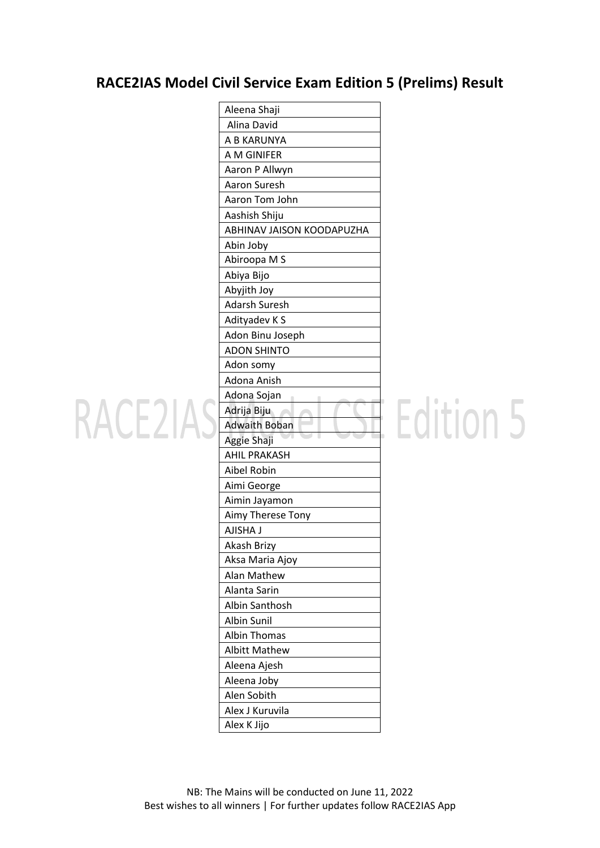#### **RACE2IAS Model Civil Service Exam Edition 5 (Prelims) Result**

|                    | Aleena Shaji              |
|--------------------|---------------------------|
|                    | Alina David               |
|                    | A B KARUNYA               |
|                    | A M GINIFER               |
|                    | Aaron P Allwyn            |
|                    | Aaron Suresh              |
|                    | Aaron Tom John            |
|                    | Aashish Shiju             |
|                    | ABHINAV JAISON KOODAPUZHA |
|                    | Abin Joby                 |
|                    | Abiroopa M S              |
|                    | Abiya Bijo                |
|                    | Abyjith Joy               |
|                    | <b>Adarsh Suresh</b>      |
|                    | Adityadev K S             |
|                    | Adon Binu Joseph          |
|                    | <b>ADON SHINTO</b>        |
|                    | Adon somy                 |
|                    | Adona Anish               |
|                    | Adona Sojan               |
| RACE <sub>21</sub> | Adrija Biju               |
|                    | <b>Adwaith Boban</b>      |
|                    | Aggie Shaji               |
|                    | <b>AHIL PRAKASH</b>       |
|                    | Aibel Robin               |
|                    | Aimi George               |
|                    | Aimin Jayamon             |
|                    | Aimy Therese Tony         |
|                    | <b>AJISHA J</b>           |
|                    | Akash Brizy               |
|                    | Aksa Maria Ajoy           |
|                    | Alan Mathew               |
|                    | Alanta Sarin              |
|                    | Albin Santhosh            |
|                    | Albin Sunil               |
|                    | <b>Albin Thomas</b>       |
|                    | <b>Albitt Mathew</b>      |
|                    | Aleena Ajesh              |
|                    | Aleena Joby               |
|                    | Alen Sobith               |
|                    | Alex J Kuruvila           |
|                    | Alex K Jijo               |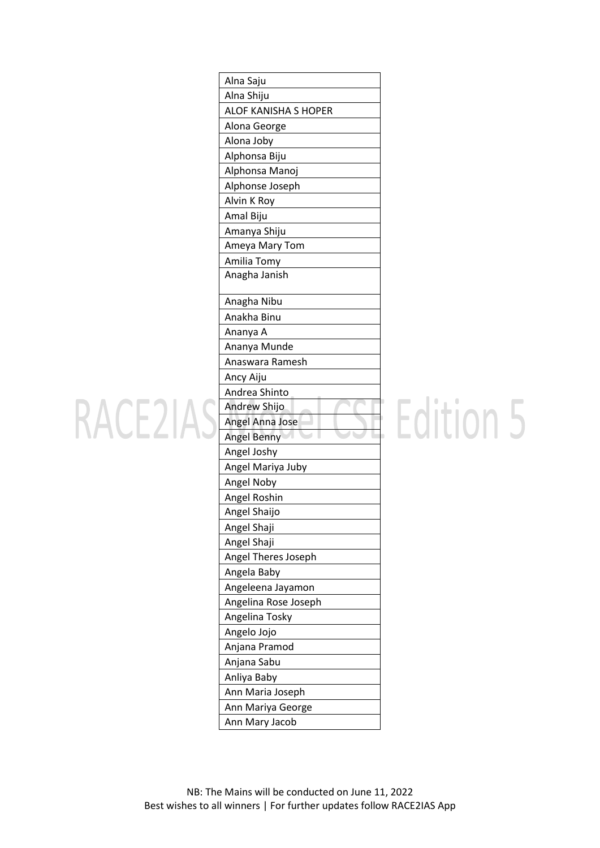|                   | Alna Saju                    |
|-------------------|------------------------------|
|                   | Alna Shiju                   |
|                   | <b>ALOF KANISHA S HOPER</b>  |
|                   | Alona George                 |
|                   | Alona Joby                   |
|                   | Alphonsa Biju                |
|                   | Alphonsa Manoj               |
|                   | Alphonse Joseph              |
|                   | Alvin K Roy                  |
|                   | Amal Biju                    |
|                   | Amanya Shiju                 |
|                   | Ameya Mary Tom               |
|                   | Amilia Tomy                  |
|                   | Anagha Janish                |
|                   | Anagha Nibu                  |
|                   | Anakha Binu                  |
|                   | Ananya A                     |
|                   | Ananya Munde                 |
|                   | Anaswara Ramesh              |
|                   | Ancy Aiju                    |
|                   | Andrea Shinto                |
| RACE <sub>2</sub> | Andrew Shijo                 |
|                   | Angel Anna Jose              |
|                   | Angel Benny                  |
|                   | Angel Joshy                  |
|                   | Angel Mariya Juby            |
|                   | Angel Noby                   |
|                   | Angel Roshin<br>Angel Shaijo |
|                   | Angel Shaji                  |
|                   | Angel Shaji                  |
|                   | Angel Theres Joseph          |
|                   | Angela Baby                  |
|                   | Angeleena Jayamon            |
|                   | Angelina Rose Joseph         |
|                   | Angelina Tosky               |
|                   | Angelo Jojo                  |
|                   | Anjana Pramod                |
|                   | Anjana Sabu                  |
|                   | Anliya Baby                  |
|                   | Ann Maria Joseph             |
|                   | Ann Mariya George            |
|                   | Ann Mary Jacob               |
|                   |                              |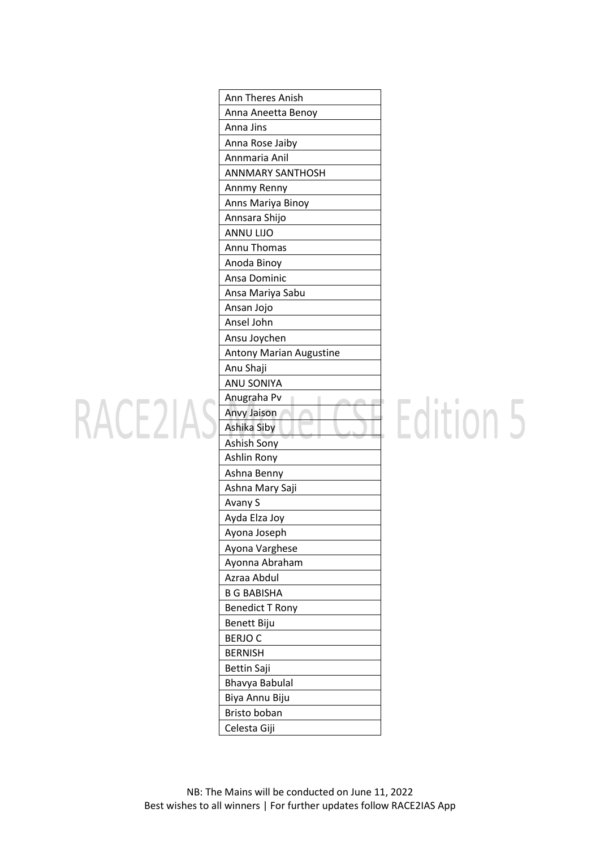|         | Ann Theres Anish               |
|---------|--------------------------------|
|         | Anna Aneetta Benoy             |
|         | Anna Jins                      |
|         | Anna Rose Jaiby                |
|         | Annmaria Anil                  |
|         | <b>ANNMARY SANTHOSH</b>        |
|         | Annmy Renny                    |
|         | Anns Mariya Binoy              |
|         | Annsara Shijo                  |
|         | <b>ANNU LIJO</b>               |
|         | Annu Thomas                    |
|         | Anoda Binoy                    |
|         | Ansa Dominic                   |
|         | Ansa Mariya Sabu               |
|         | Ansan Jojo                     |
|         | Ansel John                     |
|         | Ansu Joychen                   |
|         | <b>Antony Marian Augustine</b> |
|         | Anu Shaji                      |
|         | <b>ANU SONIYA</b>              |
|         | Anugraha Pv                    |
| RACE 21 | Anvy Jaison                    |
|         | Ashika Siby                    |
|         | Ashish Sony                    |
|         | Ashlin Rony                    |
|         | Ashna Benny                    |
|         | Ashna Mary Saji                |
|         | Avany S                        |
|         | Ayda Elza Joy                  |
|         | Ayona Joseph                   |
|         | Ayona Varghese                 |
|         | Ayonna Abraham<br>Azraa Abdul  |
|         |                                |
|         | <b>B G BABISHA</b>             |
|         | <b>Benedict T Rony</b>         |
|         | Benett Biju                    |
|         | <b>BERJOC</b>                  |
|         | <b>BERNISH</b>                 |
|         | <b>Bettin Saji</b>             |
|         | Bhavya Babulal                 |
|         | Biya Annu Biju                 |
|         | Bristo boban<br>Celesta Giji   |
|         |                                |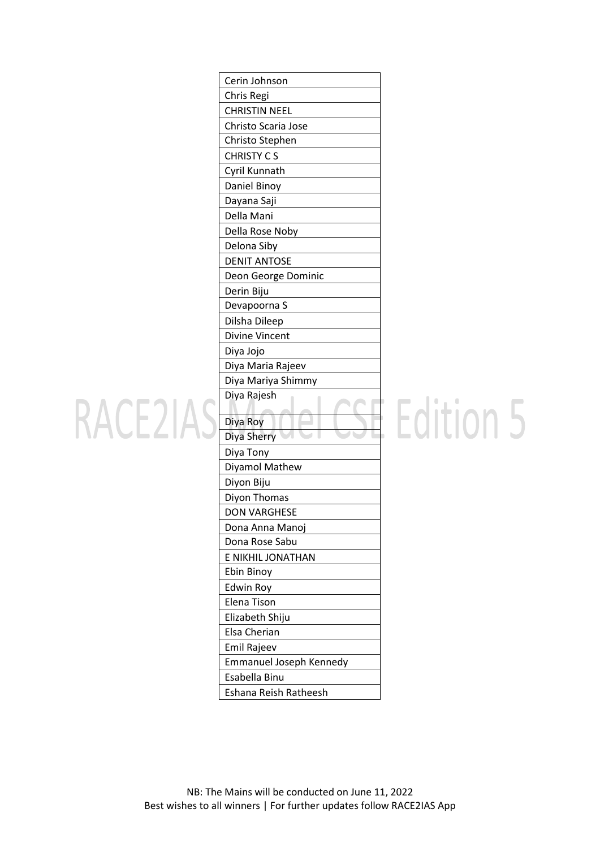|                    | Cerin Johnson                          |
|--------------------|----------------------------------------|
|                    | Chris Regi                             |
|                    | <b>CHRISTIN NEEL</b>                   |
|                    | Christo Scaria Jose                    |
|                    | Christo Stephen                        |
|                    | <b>CHRISTY CS</b>                      |
|                    | Cyril Kunnath                          |
|                    | Daniel Binoy                           |
|                    | Dayana Saji                            |
|                    | Della Mani                             |
|                    | Della Rose Noby                        |
|                    | Delona Siby                            |
|                    | <b>DENIT ANTOSE</b>                    |
|                    | Deon George Dominic                    |
|                    | Derin Biju                             |
|                    | Devapoorna S                           |
|                    | Dilsha Dileep                          |
|                    | <b>Divine Vincent</b>                  |
|                    | Diya Jojo                              |
|                    | Diya Maria Rajeev                      |
|                    | Diya Mariya Shimmy                     |
|                    | Diya Rajesh                            |
| RACE <sub>21</sub> | Diya Roy                               |
|                    | Diya Sherry                            |
|                    | Diya Tony                              |
|                    | Diyamol Mathew                         |
|                    |                                        |
|                    |                                        |
|                    | Diyon Biju                             |
|                    | Diyon Thomas<br><b>DON VARGHESE</b>    |
|                    |                                        |
|                    | Dona Anna Manoj<br>Dona Rose Sabu      |
|                    |                                        |
|                    | E NIKHIL JONATHAN                      |
|                    | Ebin Binoy                             |
|                    | <b>Edwin Roy</b>                       |
|                    | Elena Tison                            |
|                    | Elizabeth Shiju                        |
|                    | Elsa Cherian                           |
|                    | Emil Rajeev                            |
|                    | Emmanuel Joseph Kennedy                |
|                    | Esabella Binu<br>Eshana Reish Ratheesh |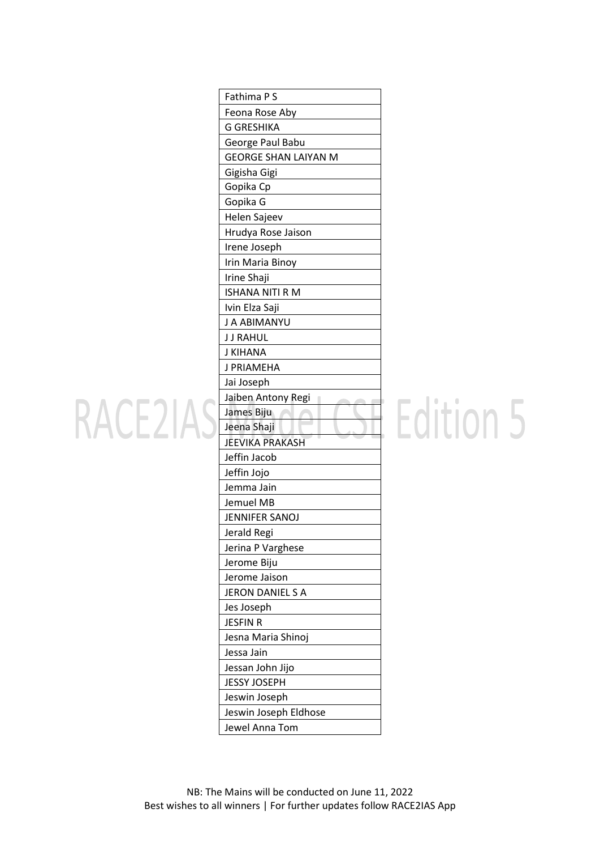|                    | Fathima P S                 |
|--------------------|-----------------------------|
|                    |                             |
|                    | Feona Rose Aby              |
|                    | <b>G GRESHIKA</b>           |
|                    | George Paul Babu            |
|                    | <b>GEORGE SHAN LAIYAN M</b> |
|                    | Gigisha Gigi                |
|                    | Gopika Cp                   |
|                    | Gopika G                    |
|                    | Helen Sajeev                |
|                    | Hrudya Rose Jaison          |
|                    | Irene Joseph                |
|                    | Irin Maria Binoy            |
|                    | Irine Shaji                 |
|                    | <b>ISHANA NITI R M</b>      |
|                    | Ivin Elza Saji              |
|                    | J A ABIMANYU                |
|                    | <b>JJ RAHUL</b>             |
|                    | <b>J KIHANA</b>             |
|                    | J PRIAMEHA                  |
|                    | Jai Joseph                  |
|                    | Jaiben Antony Regi          |
| RACE <sub>21</sub> | James Biju                  |
|                    | Jeena Shaji                 |
|                    | <b>JEEVIKA PRAKASH</b>      |
|                    | Jeffin Jacob                |
|                    | Jeffin Jojo                 |
|                    | Jemma Jain                  |
|                    | Jemuel MB                   |
|                    | <b>JENNIFER SANOJ</b>       |
|                    | Jerald Regi                 |
|                    | Jerina P Varghese           |
|                    | Jerome Biju                 |
|                    | Jerome Jaison               |
|                    | JERON DANIEL S A            |
|                    | Jes Joseph                  |
|                    | <b>JESFIN R</b>             |
|                    | Jesna Maria Shinoj          |
|                    | Jessa Jain                  |
|                    | Jessan John Jijo            |
|                    | <b>JESSY JOSEPH</b>         |
|                    | Jeswin Joseph               |
|                    | Jeswin Joseph Eldhose       |
|                    | Jewel Anna Tom              |
|                    |                             |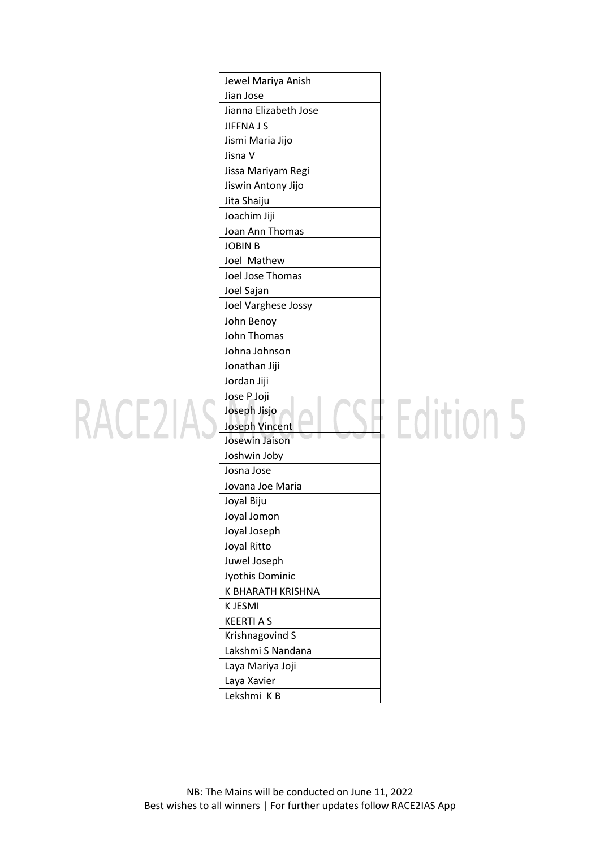|                   | Jewel Mariya Anish    |
|-------------------|-----------------------|
|                   | Jian Jose             |
|                   | Jianna Elizabeth Jose |
|                   | <b>JIFFNA J S</b>     |
|                   | Jismi Maria Jijo      |
|                   | Jisna V               |
|                   | Jissa Mariyam Regi    |
|                   | Jiswin Antony Jijo    |
|                   | Jita Shaiju           |
|                   | Joachim Jiji          |
|                   | Joan Ann Thomas       |
|                   | <b>JOBIN B</b>        |
|                   | Joel Mathew           |
|                   | Joel Jose Thomas      |
|                   | Joel Sajan            |
|                   | Joel Varghese Jossy   |
|                   | John Benoy            |
|                   | John Thomas           |
|                   | Johna Johnson         |
|                   | Jonathan Jiji         |
|                   | Jordan Jiji           |
|                   | Jose P Joji           |
| RACE <sub>2</sub> | Joseph Jisjo          |
|                   | Joseph Vincent        |
|                   | Josewin Jaison        |
|                   | Joshwin Joby          |
|                   | Josna Jose            |
|                   | Jovana Joe Maria      |
|                   | Joyal Biju            |
|                   | Joyal Jomon           |
|                   | Joyal Joseph          |
|                   | Joyal Ritto           |
|                   | Juwel Joseph          |
|                   | Jyothis Dominic       |
|                   | K BHARATH KRISHNA     |
|                   | K JESMI               |
|                   | <b>KEERTI A S</b>     |
|                   | Krishnagovind S       |
|                   | Lakshmi S Nandana     |
|                   | Laya Mariya Joji      |
|                   | Laya Xavier           |
|                   | Lekshmi KB            |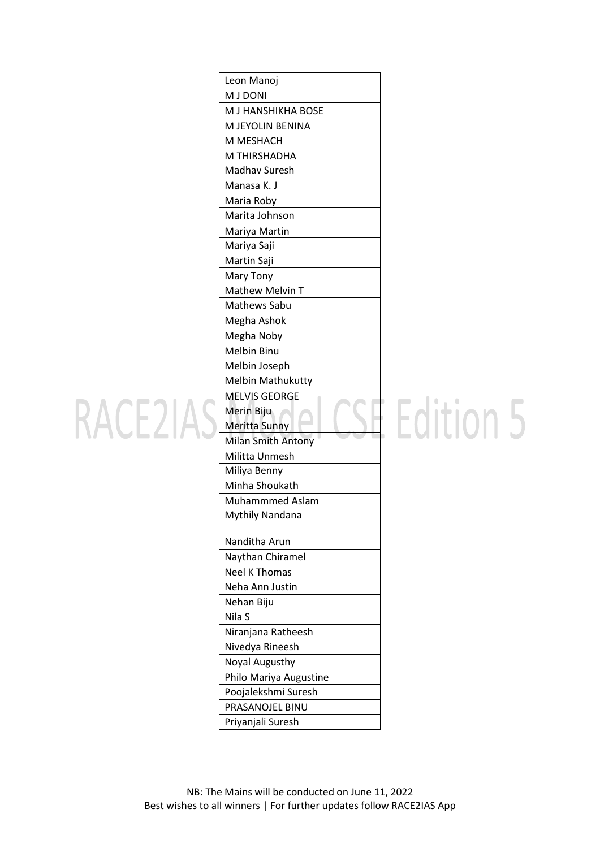|                   | Leon Manoj                                    |
|-------------------|-----------------------------------------------|
|                   | <b>M J DONI</b>                               |
|                   | M J HANSHIKHA BOSE                            |
|                   | M JEYOLIN BENINA                              |
|                   | M MESHACH                                     |
|                   | M THIRSHADHA                                  |
|                   | Madhav Suresh                                 |
|                   | Manasa K. J                                   |
|                   | Maria Roby                                    |
|                   | Marita Johnson                                |
|                   | Mariya Martin                                 |
|                   | Mariya Saji                                   |
|                   | Martin Saji                                   |
|                   | Mary Tony                                     |
|                   | Mathew Melvin T                               |
|                   | Mathews Sabu                                  |
|                   | Megha Ashok                                   |
|                   | Megha Noby                                    |
|                   | Melbin Binu                                   |
|                   | Melbin Joseph                                 |
|                   | Melbin Mathukutty                             |
|                   | <b>MELVIS GEORGE</b>                          |
| RACE <sub>2</sub> | Merin Biju                                    |
|                   | Meritta Sunny<br>U                            |
|                   | <b>Milan Smith Antony</b>                     |
|                   | Militta Unmesh                                |
|                   | Miliya Benny                                  |
|                   | Minha Shoukath                                |
|                   | Muhammmed Aslam                               |
|                   | <b>Mythily Nandana</b>                        |
|                   | Nanditha Arun                                 |
|                   | Naythan Chiramel                              |
|                   |                                               |
|                   | <b>Neel K Thomas</b>                          |
|                   | Neha Ann Justin                               |
|                   |                                               |
|                   | Nehan Biju<br>Nila S                          |
|                   |                                               |
|                   | Niranjana Ratheesh<br>Nivedya Rineesh         |
|                   |                                               |
|                   | Noyal Augusthy                                |
|                   | Philo Mariya Augustine<br>Poojalekshmi Suresh |
|                   | PRASANOJEL BINU                               |
|                   | Priyanjali Suresh                             |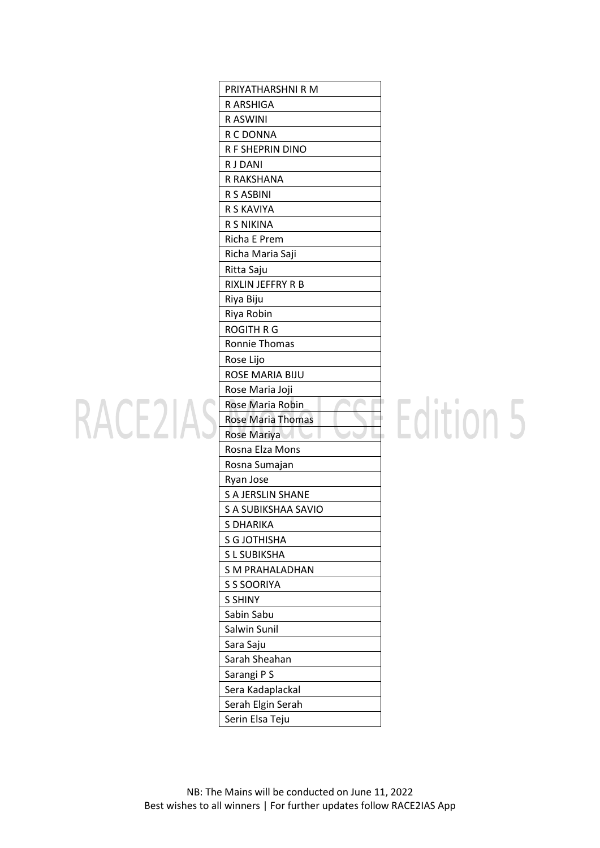|                    | PRIYATHARSHNI R M               |
|--------------------|---------------------------------|
|                    |                                 |
|                    | R ARSHIGA                       |
|                    | R ASWINI                        |
|                    | R C DONNA<br>R F SHEPRIN DINO   |
|                    | <b>RJDANI</b>                   |
|                    |                                 |
|                    | R RAKSHANA                      |
|                    | R S ASBINI                      |
|                    | R S KAVIYA<br><b>R S NIKINA</b> |
|                    |                                 |
|                    | Richa E Prem                    |
|                    | Richa Maria Saji                |
|                    | Ritta Saju                      |
|                    | RIXLIN JEFFRY R B               |
|                    | Riya Biju                       |
|                    | Riya Robin                      |
|                    | <b>ROGITH R G</b>               |
|                    | Ronnie Thomas                   |
|                    | Rose Lijo                       |
|                    | ROSE MARIA BIJU                 |
|                    | Rose Maria Joji                 |
|                    | Rose Maria Robin                |
| RACE <sub>21</sub> | <b>Rose Maria Thomas</b>        |
|                    | Rose Mariya                     |
|                    | Rosna Elza Mons                 |
|                    | Rosna Sumajan                   |
|                    | Ryan Jose                       |
|                    | <b>S A JERSLIN SHANE</b>        |
|                    | S A SUBIKSHAA SAVIO             |
|                    | S DHARIKA                       |
|                    | <b>S G JOTHISHA</b>             |
|                    | S L SUBIKSHA                    |
|                    | <b>S M PRAHALADHAN</b>          |
|                    | S S SOORIYA                     |
|                    | <b>S SHINY</b>                  |
|                    | Sabin Sabu                      |
|                    | Salwin Sunil                    |
|                    | Sara Saju                       |
|                    | Sarah Sheahan                   |
|                    | Sarangi P S                     |
|                    | Sera Kadaplackal                |
|                    | Serah Elgin Serah               |
|                    | Serin Elsa Teju                 |
|                    |                                 |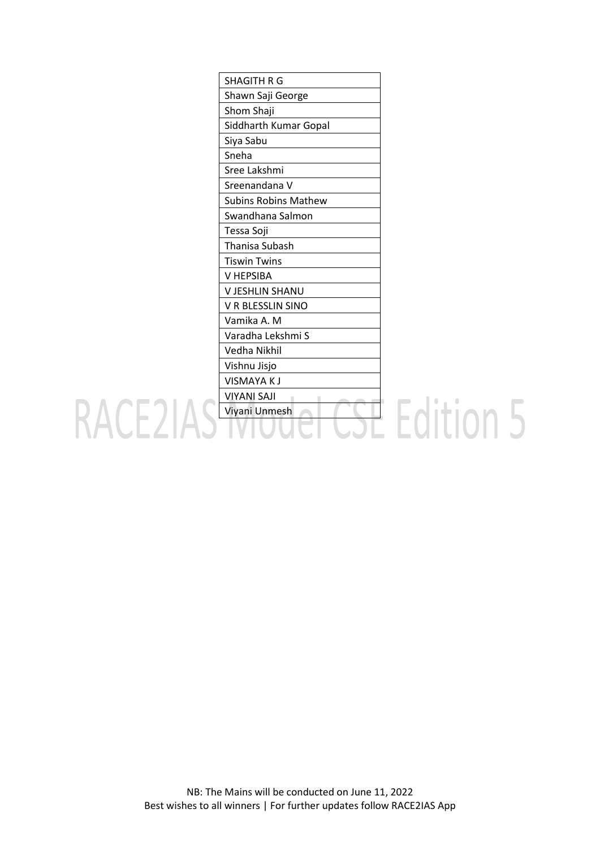| <b>SHAGITH R G</b>          |                |
|-----------------------------|----------------|
| Shawn Saji George           |                |
| Shom Shaji                  |                |
| Siddharth Kumar Gopal       |                |
| Siya Sabu                   |                |
| Sneha                       |                |
| Sree Lakshmi                |                |
| Sreenandana V               |                |
| <b>Subins Robins Mathew</b> |                |
| Swandhana Salmon            |                |
| Tessa Soji                  |                |
| Thanisa Subash              |                |
| <b>Tiswin Twins</b>         |                |
| V HEPSIBA                   |                |
| V JESHLIN SHANU             |                |
| V R BLESSLIN SINO           |                |
| Vamika A. M                 |                |
| Varadha Lekshmi S           |                |
| Vedha Nikhil                |                |
| Vishnu Jisjo                |                |
| <b>VISMAYAKJ</b>            |                |
| <b>VIYANI SAJI</b>          |                |
| Viyani Unmesh               | <b>Fdition</b> |
|                             |                |
|                             |                |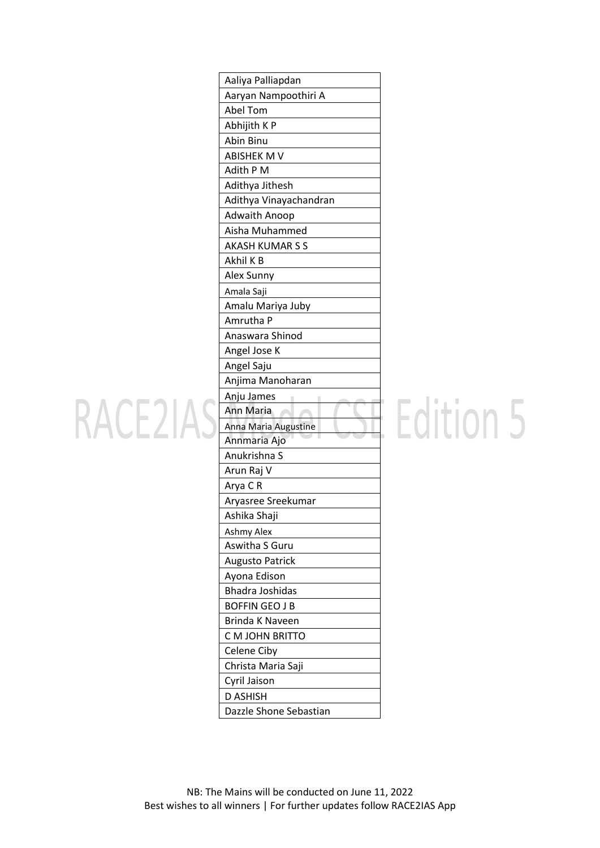|                   | Aaliya Palliapdan      |
|-------------------|------------------------|
|                   | Aaryan Nampoothiri A   |
|                   | Abel Tom               |
|                   | Abhijith K P           |
|                   | Abin Binu              |
|                   | <b>ABISHEK M V</b>     |
|                   | Adith P M              |
|                   | Adithya Jithesh        |
|                   | Adithya Vinayachandran |
|                   | Adwaith Anoop          |
|                   | Aisha Muhammed         |
|                   | <b>AKASH KUMAR S S</b> |
|                   | Akhil K B              |
|                   | Alex Sunny             |
|                   | Amala Saji             |
|                   | Amalu Mariya Juby      |
|                   | Amrutha P              |
|                   | Anaswara Shinod        |
|                   | Angel Jose K           |
|                   | Angel Saju             |
|                   | Anjima Manoharan       |
|                   | Anju James             |
| RACE <sub>2</sub> | Ann Maria              |
|                   | Anna Maria Augustine   |
|                   | Annmaria Ajo           |
|                   | Anukrishna S           |
|                   | Arun Raj V             |
|                   | Arya C R               |
|                   | Aryasree Sreekumar     |
|                   | Ashika Shaji           |
|                   | Ashmy Alex             |
|                   | Aswitha S Guru         |
|                   | <b>Augusto Patrick</b> |
|                   | Ayona Edison           |
|                   | Bhadra Joshidas        |
|                   | <b>BOFFIN GEO J B</b>  |
|                   | Brinda K Naveen        |
|                   | C M JOHN BRITTO        |
|                   | Celene Ciby            |
|                   | Christa Maria Saji     |
|                   | Cyril Jaison           |
|                   | <b>D ASHISH</b>        |
|                   | Dazzle Shone Sebastian |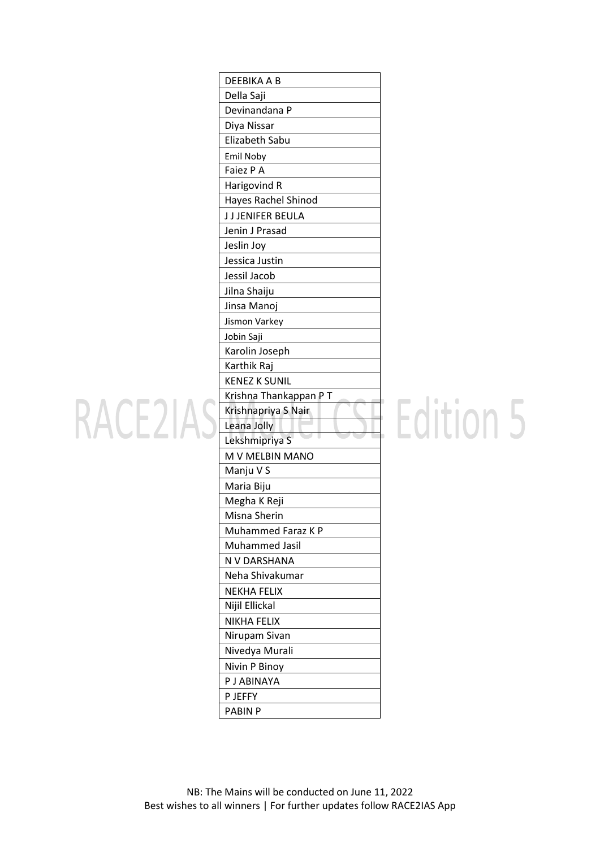|                     | DEEBIKA A B            |
|---------------------|------------------------|
|                     | Della Saji             |
|                     | Devinandana P          |
|                     | Diya Nissar            |
|                     | Elizabeth Sabu         |
|                     | Emil Noby              |
|                     | Faiez P A              |
|                     | Harigovind R           |
|                     | Hayes Rachel Shinod    |
|                     | J J JENIFER BEULA      |
|                     | Jenin J Prasad         |
|                     | Jeslin Joy             |
|                     | Jessica Justin         |
|                     | Jessil Jacob           |
|                     | Jilna Shaiju           |
|                     | Jinsa Manoj            |
|                     | Jismon Varkey          |
|                     | Jobin Saji             |
|                     | Karolin Joseph         |
|                     | Karthik Raj            |
|                     | <b>KENEZ K SUNIL</b>   |
|                     | Krishna Thankappan P T |
| RACE <sub>2</sub> 1 | Krishnapriya S Nair    |
|                     | Leana Jolly            |
|                     | Lekshmipriya S         |
|                     | M V MELBIN MANO        |
|                     | Manju V S              |
|                     | Maria Biju             |
|                     | Megha K Reji           |
|                     | Misna Sherin           |
|                     | Muhammed Faraz K P     |
|                     | Muhammed Jasil         |
|                     | N V DARSHANA           |
|                     | Neha Shivakumar        |
|                     | <b>NEKHA FELIX</b>     |
|                     | Nijil Ellickal         |
|                     | <b>NIKHA FELIX</b>     |
|                     | Nirupam Sivan          |
|                     | Nivedya Murali         |
|                     | Nivin P Binoy          |
|                     | P J ABINAYA            |
|                     | P JEFFY                |
|                     | <b>PABIN P</b>         |